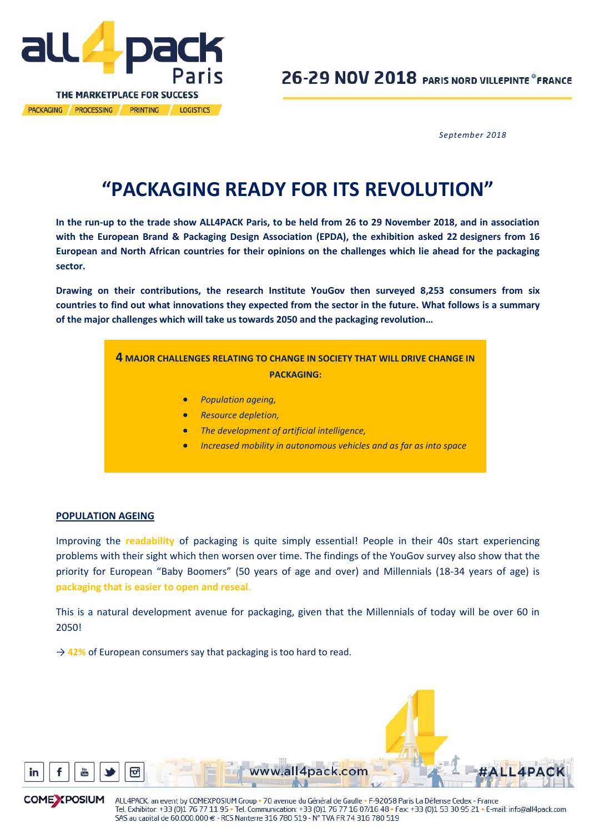

*September 2018*

# **"PACKAGING READY FOR ITS REVOLUTION"**

**In the run-up to the trade show ALL4PACK Paris, to be held from 26 to 29 November 2018, and in association with the European Brand & Packaging Design Association (EPDA), the exhibition asked 22 designers from 16 European and North African countries for their opinions on the challenges which lie ahead for the packaging sector.**

**Drawing on their contributions, the research Institute YouGov then surveyed 8,253 consumers from six countries to find out what innovations they expected from the sector in the future. What follows is a summary of the major challenges which will take us towards 2050 and the packaging revolution…**

# **4 MAJOR CHALLENGES RELATING TO CHANGE IN SOCIETY THAT WILL DRIVE CHANGE IN PACKAGING:**

- *Population ageing,*
- *Resource depletion,*
- *The development of artificial intelligence,*
- *Increased mobility in autonomous vehicles and as far as into space*

#### **POPULATION AGEING**

Improving the **readability** of packaging is quite simply essential! People in their 40s start experiencing problems with their sight which then worsen over time. The findings of the YouGov survey also show that the priority for European "Baby Boomers" (50 years of age and over) and Millennials (18-34 years of age) is **packaging that is easier to open and reseal**.

This is a natural development avenue for packaging, given that the Millennials of today will be over 60 in 2050!

→ 42% of European consumers say that packaging is too hard to read.



**COME** *<u>X</u>POSIUM* 

ञि

ALL4PACK, an event by COMEXPOSIUM Group . 70 avenue du Général de Gaulle . F-92058 Paris La Défense Cedex - France Tel. Exhibitor: +33 (0)1 76 77 11 95 • Tel. Communication: +33 (0)1 76 77 16 07/16 48 • Fax: +33 (0)1 53 30 95 21 • E-mail: info@all4pack.com SAS au capital de 60.000.000 € - RCS Nanterre 316 780 519 - N° TVA FR 74 316 780 519

ww.all4pack.com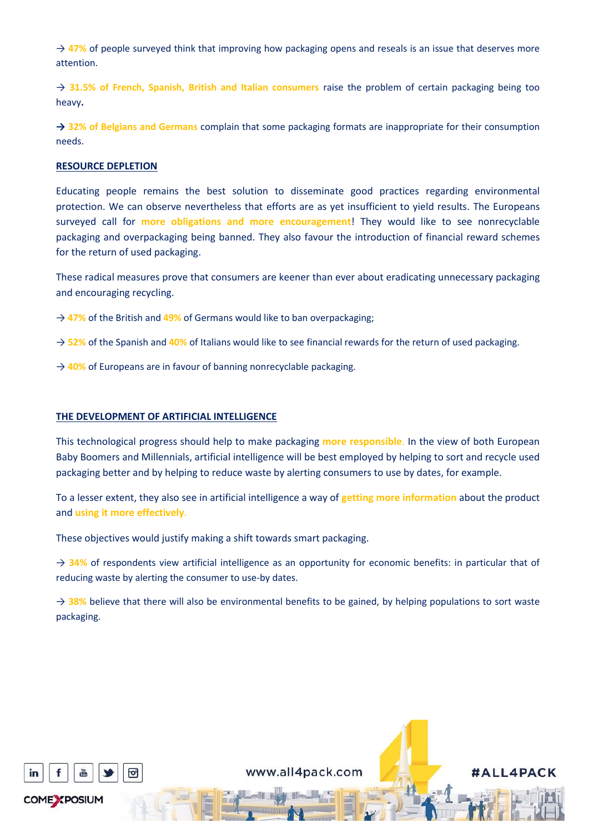→ 47% of people surveyed think that improving how packaging opens and reseals is an issue that deserves more attention.

→ **31.5% of French, Spanish, British and Italian consumers** raise the problem of certain packaging being too heavy**.**

**→ 32% of Belgians and Germans** complain that some packaging formats are inappropriate for their consumption needs.

## **RESOURCE DEPLETION**

Educating people remains the best solution to disseminate good practices regarding environmental protection. We can observe nevertheless that efforts are as yet insufficient to yield results. The Europeans surveyed call for **more obligations and more encouragement**! They would like to see nonrecyclable packaging and overpackaging being banned. They also favour the introduction of financial reward schemes for the return of used packaging.

These radical measures prove that consumers are keener than ever about eradicating unnecessary packaging and encouraging recycling.

- → **47%** of the British and **49%** of Germans would like to ban overpackaging;
- → **52%** of the Spanish and **40%** of Italians would like to see financial rewards for the return of used packaging.
- → 40% of Europeans are in favour of banning nonrecyclable packaging.

## **THE DEVELOPMENT OF ARTIFICIAL INTELLIGENCE**

This technological progress should help to make packaging **more responsible**. In the view of both European Baby Boomers and Millennials, artificial intelligence will be best employed by helping to sort and recycle used packaging better and by helping to reduce waste by alerting consumers to use by dates, for example.

To a lesser extent, they also see in artificial intelligence a way of **getting more information** about the product and **using it more effectively**.

These objectives would justify making a shift towards smart packaging.

→ **34%** of respondents view artificial intelligence as an opportunity for economic benefits: in particular that of reducing waste by alerting the consumer to use-by dates.

 $\rightarrow$  38% believe that there will also be environmental benefits to be gained, by helping populations to sort waste packaging.



www.all4pack.com